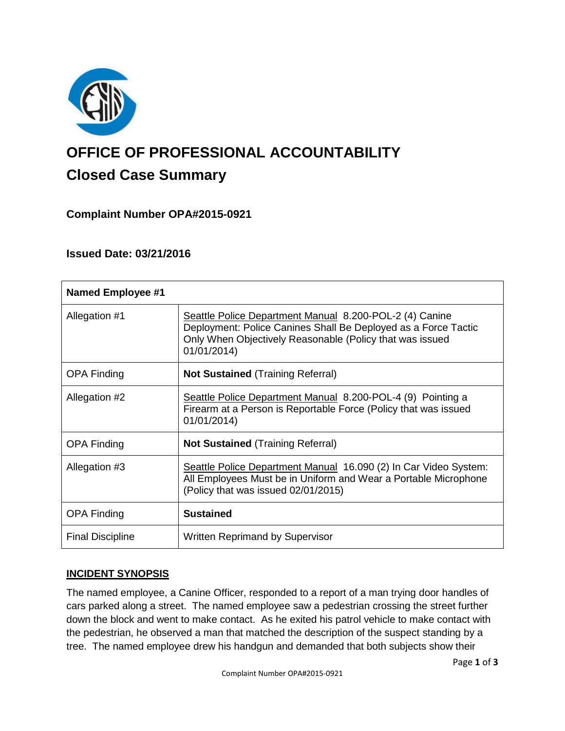

# **OFFICE OF PROFESSIONAL ACCOUNTABILITY Closed Case Summary**

# **Complaint Number OPA#2015-0921**

## **Issued Date: 03/21/2016**

| <b>Named Employee #1</b> |                                                                                                                                                                                                      |
|--------------------------|------------------------------------------------------------------------------------------------------------------------------------------------------------------------------------------------------|
| Allegation #1            | Seattle Police Department Manual 8.200-POL-2 (4) Canine<br>Deployment: Police Canines Shall Be Deployed as a Force Tactic<br>Only When Objectively Reasonable (Policy that was issued<br>01/01/2014) |
| <b>OPA Finding</b>       | Not Sustained (Training Referral)                                                                                                                                                                    |
| Allegation #2            | Seattle Police Department Manual 8.200-POL-4 (9) Pointing a<br>Firearm at a Person is Reportable Force (Policy that was issued<br>01/01/2014)                                                        |
| <b>OPA Finding</b>       | <b>Not Sustained (Training Referral)</b>                                                                                                                                                             |
| Allegation #3            | Seattle Police Department Manual 16.090 (2) In Car Video System:<br>All Employees Must be in Uniform and Wear a Portable Microphone<br>(Policy that was issued 02/01/2015)                           |
| <b>OPA Finding</b>       | <b>Sustained</b>                                                                                                                                                                                     |
| <b>Final Discipline</b>  | <b>Written Reprimand by Supervisor</b>                                                                                                                                                               |

## **INCIDENT SYNOPSIS**

The named employee, a Canine Officer, responded to a report of a man trying door handles of cars parked along a street. The named employee saw a pedestrian crossing the street further down the block and went to make contact. As he exited his patrol vehicle to make contact with the pedestrian, he observed a man that matched the description of the suspect standing by a tree. The named employee drew his handgun and demanded that both subjects show their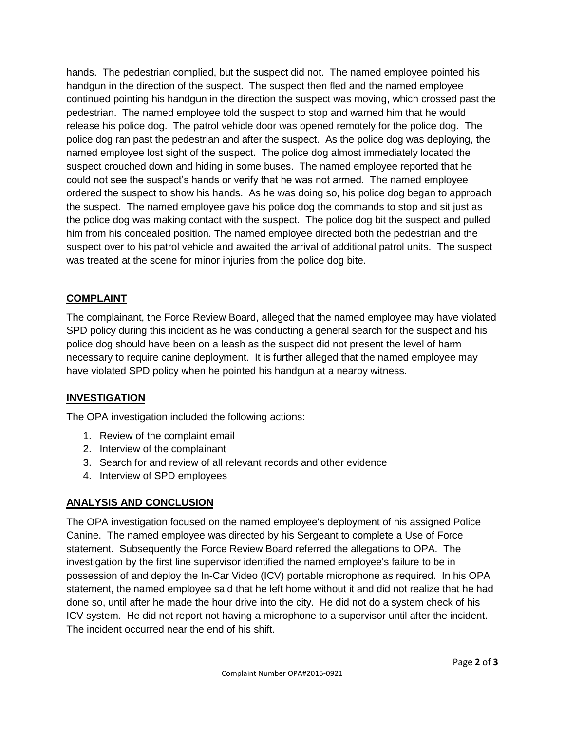hands. The pedestrian complied, but the suspect did not. The named employee pointed his handgun in the direction of the suspect. The suspect then fled and the named employee continued pointing his handgun in the direction the suspect was moving, which crossed past the pedestrian. The named employee told the suspect to stop and warned him that he would release his police dog. The patrol vehicle door was opened remotely for the police dog. The police dog ran past the pedestrian and after the suspect. As the police dog was deploying, the named employee lost sight of the suspect. The police dog almost immediately located the suspect crouched down and hiding in some buses. The named employee reported that he could not see the suspect's hands or verify that he was not armed. The named employee ordered the suspect to show his hands. As he was doing so, his police dog began to approach the suspect. The named employee gave his police dog the commands to stop and sit just as the police dog was making contact with the suspect. The police dog bit the suspect and pulled him from his concealed position. The named employee directed both the pedestrian and the suspect over to his patrol vehicle and awaited the arrival of additional patrol units. The suspect was treated at the scene for minor injuries from the police dog bite.

#### **COMPLAINT**

The complainant, the Force Review Board, alleged that the named employee may have violated SPD policy during this incident as he was conducting a general search for the suspect and his police dog should have been on a leash as the suspect did not present the level of harm necessary to require canine deployment. It is further alleged that the named employee may have violated SPD policy when he pointed his handgun at a nearby witness.

## **INVESTIGATION**

The OPA investigation included the following actions:

- 1. Review of the complaint email
- 2. Interview of the complainant
- 3. Search for and review of all relevant records and other evidence
- 4. Interview of SPD employees

## **ANALYSIS AND CONCLUSION**

The OPA investigation focused on the named employee's deployment of his assigned Police Canine. The named employee was directed by his Sergeant to complete a Use of Force statement. Subsequently the Force Review Board referred the allegations to OPA. The investigation by the first line supervisor identified the named employee's failure to be in possession of and deploy the In-Car Video (ICV) portable microphone as required. In his OPA statement, the named employee said that he left home without it and did not realize that he had done so, until after he made the hour drive into the city. He did not do a system check of his ICV system. He did not report not having a microphone to a supervisor until after the incident. The incident occurred near the end of his shift.